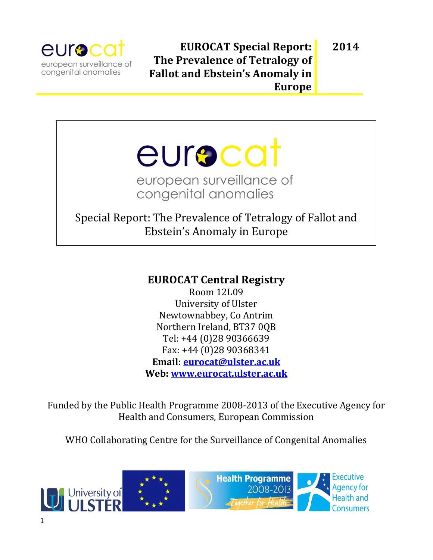

**2014**

# eurocat european surveillance of congenital anomalies

# Special Report: The Prevalence of Tetralogy of Fallot and Ebstein's Anomaly in Europe

## **EUROCAT Central Registry**

Room 12L09 University of Ulster Newtownabbey, Co Antrim Northern Ireland, BT37 0QB Tel: +44 (0)28 90366639 Fax: +44 (0)28 90368341 **Email: [eurocat@ulster.ac.uk](mailto:eurocat@ulster.ac.uk) Web: [www.eurocat.ulster.ac.uk](http://www.eurocat.ulster.ac.uk/)**

Funded by the Public Health Programme 2008-2013 of the Executive Agency for Health and Consumers, European Commission

WHO Collaborating Centre for the Surveillance of Congenital Anomalies

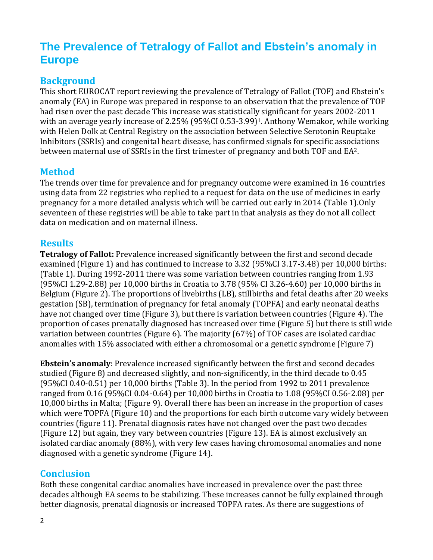# **The Prevalence of Tetralogy of Fallot and Ebstein's anomaly in Europe**

#### **Background**

This short EUROCAT report reviewing the prevalence of Tetralogy of Fallot (TOF) and Ebstein's anomaly (EA) in Europe was prepared in response to an observation that the prevalence of TOF had risen over the past decade This increase was statistically significant for years 2002-2011 with an average yearly increase of 2.25% (95%CI 0.53-3.99)<sup>1</sup>. Anthony Wemakor, while working with Helen Dolk at Central Registry on the association between Selective Serotonin Reuptake Inhibitors (SSRIs) and congenital heart disease, has confirmed signals for specific associations between maternal use of SSRIs in the first trimester of pregnancy and both TOF and EA2.

#### **Method**

The trends over time for prevalence and for pregnancy outcome were examined in 16 countries using data from 22 registries who replied to a request for data on the use of medicines in early pregnancy for a more detailed analysis which will be carried out early in 2014 (Table 1).Only seventeen of these registries will be able to take part in that analysis as they do not all collect data on medication and on maternal illness.

#### **Results**

**Tetralogy of Fallot:** Prevalence increased significantly between the first and second decade examined (Figure 1) and has continued to increase to 3.32 (95%CI 3.17-3.48) per 10,000 births: (Table 1). During 1992-2011 there was some variation between countries ranging from 1.93 (95%CI 1.29-2.88) per 10,000 births in Croatia to 3.78 (95% CI 3.26-4.60) per 10,000 births in Belgium (Figure 2). The proportions of livebirths (LB), stillbirths and fetal deaths after 20 weeks gestation (SB), termination of pregnancy for fetal anomaly (TOPFA) and early neonatal deaths have not changed over time (Figure 3), but there is variation between countries (Figure 4). The proportion of cases prenatally diagnosed has increased over time (Figure 5) but there is still wide variation between countries (Figure 6). The majority (67%) of TOF cases are isolated cardiac anomalies with 15% associated with either a chromosomal or a genetic syndrome (Figure 7)

**Ebstein's anomaly**: Prevalence increased significantly between the first and second decades studied (Figure 8) and decreased slightly, and non-significently, in the third decade to 0.45 (95%CI 0.40-0.51) per 10,000 births (Table 3). In the period from 1992 to 2011 prevalence ranged from 0.16 (95%CI 0.04-0.64) per 10,000 births in Croatia to 1.08 (95%CI 0.56-2.08) per 10,000 births in Malta; (Figure 9). Overall there has been an increase in the proportion of cases which were TOPFA (Figure 10) and the proportions for each birth outcome vary widely between countries (figure 11). Prenatal diagnosis rates have not changed over the past two decades (Figure 12) but again, they vary between countries (Figure 13). EA is almost exclusively an isolated cardiac anomaly (88%), with very few cases having chromosomal anomalies and none diagnosed with a genetic syndrome (Figure 14).

#### **Conclusion**

Both these congenital cardiac anomalies have increased in prevalence over the past three decades although EA seems to be stabilizing. These increases cannot be fully explained through better diagnosis, prenatal diagnosis or increased TOPFA rates. As there are suggestions of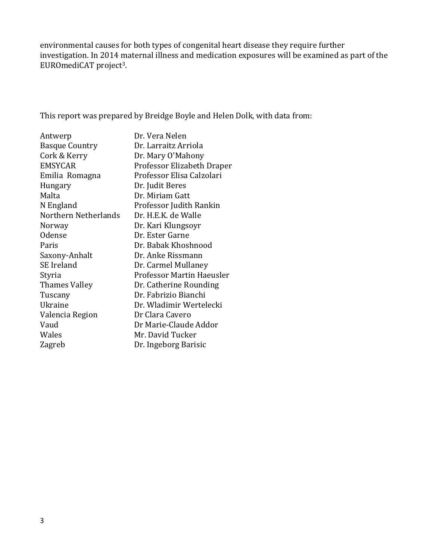environmental causes for both types of congenital heart disease they require further investigation. In 2014 maternal illness and medication exposures will be examined as part of the EUROmediCAT project3.

This report was prepared by Breidge Boyle and Helen Dolk, with data from:

| Dr. Vera Nelen             |
|----------------------------|
| Dr. Larraitz Arriola       |
| Dr. Mary O'Mahony          |
| Professor Elizabeth Draper |
| Professor Elisa Calzolari  |
| Dr. Judit Beres            |
| Dr. Miriam Gatt            |
| Professor Judith Rankin    |
| Dr. H.E.K. de Walle        |
| Dr. Kari Klungsoyr         |
| Dr. Ester Garne            |
| Dr. Babak Khoshnood        |
| Dr. Anke Rissmann          |
| Dr. Carmel Mullaney        |
| Professor Martin Haeusler  |
| Dr. Catherine Rounding     |
| Dr. Fabrizio Bianchi       |
| Dr. Wladimir Wertelecki    |
| Dr Clara Cavero            |
| Dr Marie-Claude Addor      |
| Mr. David Tucker           |
| Dr. Ingeborg Barisic       |
|                            |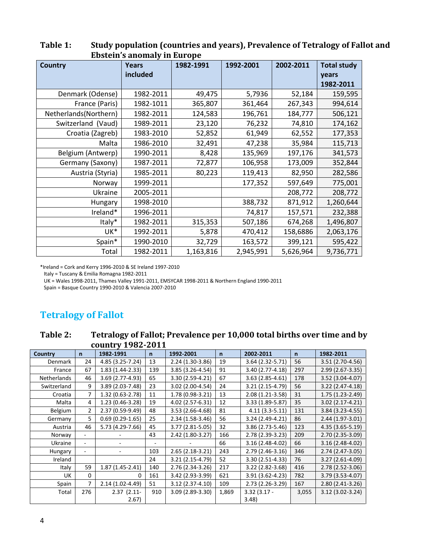| <b>Country</b>        | <b>Years</b><br>included | 1982-1991 | 1992-2001 | 2002-2011 | <b>Total study</b><br>years<br>1982-2011 |
|-----------------------|--------------------------|-----------|-----------|-----------|------------------------------------------|
| Denmark (Odense)      | 1982-2011                | 49,475    | 5,7936    | 52,184    | 159,595                                  |
| France (Paris)        | 1982-1011                | 365,807   | 361,464   | 267,343   | 994,614                                  |
| Netherlands(Northern) | 1982-2011                | 124,583   | 196,761   | 184,777   | 506,121                                  |
| Switzerland (Vaud)    | 1989-2011                | 23,120    | 76,232    | 74,810    | 174,162                                  |
| Croatia (Zagreb)      | 1983-2010                | 52,852    | 61,949    | 62,552    | 177,353                                  |
| Malta                 | 1986-2010                | 32,491    | 47,238    | 35,984    | 115,713                                  |
| Belgium (Antwerp)     | 1990-2011                | 8,428     | 135,969   | 197,176   | 341,573                                  |
| Germany (Saxony)      | 1987-2011                | 72,877    | 106,958   | 173,009   | 352,844                                  |
| Austria (Styria)      | 1985-2011                | 80,223    | 119,413   | 82,950    | 282,586                                  |
| Norway                | 1999-2011                |           | 177,352   | 597,649   | 775,001                                  |
| Ukraine               | 2005-2011                |           |           | 208,772   | 208,772                                  |
| <b>Hungary</b>        | 1998-2010                |           | 388,732   | 871,912   | 1,260,644                                |
| Ireland*              | 1996-2011                |           | 74,817    | 157,571   | 232,388                                  |
| Italy*                | 1982-2011                | 315,353   | 507,186   | 674,268   | 1,496,807                                |
| UK*                   | 1992-2011                | 5,878     | 470,412   | 158,6886  | 2,063,176                                |
| Spain*                | 1990-2010                | 32,729    | 163,572   | 399,121   | 595,422                                  |
| Total                 | 1982-2011                | 1,163,816 | 2,945,991 | 5,626,964 | 9,736,771                                |

**Table 1: Study population (countries and years), Prevalence of Tetralogy of Fallot and Ebstein's anomaly in Europe**

\*Ireland = Cork and Kerry 1996-2010 & SE Ireland 1997-2010

Italy = Tuscany & Emilia Romagna 1982-2011

UK = Wales 1998-2011, Thames Valley 1991-2011, EMSYCAR 1998-2011 & Northern England 1990-2011

Spain = Basque Country 1990-2010 & Valencia 2007-2010

## **Tetralogy of Fallot**

**Table 2: Tetralogy of Fallot; Prevalence per 10,000 total births over time and by country 1982-2011**

| Country     | $\mathsf{n}$             | 1982-1991         | n.                       | 1992-2001         | $\mathsf{n}$ | 2002-2011        | $\mathsf{n}$ | 1982-2011         |
|-------------|--------------------------|-------------------|--------------------------|-------------------|--------------|------------------|--------------|-------------------|
| Denmark     | 24                       | 4.85 (3.25-7.24)  | 13                       | 2.24 (1.30-3.86)  | 19           | 3.64 (2.32-5.71) | 56           | 3.51 (2.70-4.56)  |
| France      | 67                       | 1.83 (1.44-2.33)  | 139                      | 3.85 (3.26-4.54)  | 91           | 3.40 (2.77-4.18) | 297          | 2.99 (2.67-3.35)  |
| Netherlands | 46                       | 3.69 (2.77-4.93)  | 65                       | 3.30 (2.59-4.21)  | 67           | 3.63 (2.85-4.61) | 178          | 3.52 (3.04-4.07)  |
| Switzerland | 9                        | 3.89 (2.03-7.48)  | 23                       | 3.02 (2.00-4.54)  | 24           | 3.21 (2.15-4.79) | 56           | 3.22 (2.47-4.18)  |
| Croatia     | 7                        | 1.32 (0.63-2.78)  | 11                       | 1.78 (0.98-3.21)  | 13           | 2.08 (1.21-3.58) | 31           | 1.75 (1.23-2.49)  |
| Malta       | 4                        | 1.23 (0.46-3.28)  | 19                       | 4.02 (2.57-6.31)  | 12           | 3.33 (1.89-5.87) | 35           | 3.02 (2.17-4.21)  |
| Belgium     | $\overline{2}$           | 2.37 (0.59-9.49)  | 48                       | 3.53 (2.66-4.68)  | 81           | $4.11(3.3-5.11)$ | 131          | 3.84 (3.23-4.55)  |
| Germany     | 5                        | $0.69(0.29-1.65)$ | 25                       | 2.34 (1.58-3.46)  | 56           | 3.24 (2.49-4.21) | 86           | 2.44 (1.97-3.01)  |
| Austria     | 46                       | 5.73 (4.29-7.66)  | 45                       | 3.77 (2.81-5.05)  | 32           | 3.86 (2.73-5.46) | 123          | 4.35 (3.65-5.19)  |
| Norway      | ٠                        |                   | 43                       | 2.42 (1.80-3.27)  | 166          | 2.78 (2.39-3.23) | 209          | 2.70 (2.35-3.09)  |
| Ukraine     | $\overline{\phantom{a}}$ |                   | $\overline{\phantom{0}}$ |                   | 66           | 3.16 (2.48-4.02) | 66           | 3.16 (2.48-4.02)  |
| Hungary     | $\overline{a}$           |                   | 103                      | $2.65(2.18-3.21)$ | 243          | 2.79 (2.46-3.16) | 346          | 2.74 (2.47-3.05)  |
| Ireland     |                          |                   | 24                       | 3.21 (2.15-4.79)  | 52           | 3.30 (2.51-4.33) | 76           | 3.27 (2.61-4.09)  |
| Italy       | 59                       | $1.87(1.45-2.41)$ | 140                      | 2.76 (2.34-3.26)  | 217          | 3.22 (2.82-3.68) | 416          | 2.78 (2.52-3.06)  |
| UK          | $\Omega$                 | $\Omega$          | 161                      | 3.42 (2.93-3.99)  | 621          | 3.91 (3.62-4.23) | 782          | 3.79 (3.53-4.07)  |
| Spain       | 7                        | 2.14 (1.02-4.49)  | 51                       | $3.12(2.37-4.10)$ | 109          | 2.73 (2.26-3.29) | 167          | $2.80(2.41-3.26)$ |
| Total       | 276                      | $2.37(2.11-$      | 910                      | 3.09 (2.89-3.30)  | 1,869        | $3.32(3.17 -$    | 3,055        | 3.12 (3.02-3.24)  |
|             |                          | 2.67              |                          |                   |              | 3.48             |              |                   |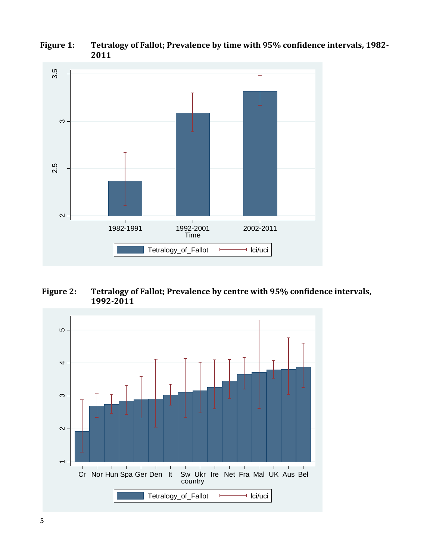

**Figure 1: Tetralogy of Fallot; Prevalence by time with 95% confidence intervals, 1982- 2011**

**Figure 2: Tetralogy of Fallot; Prevalence by centre with 95% confidence intervals, 1992-2011**

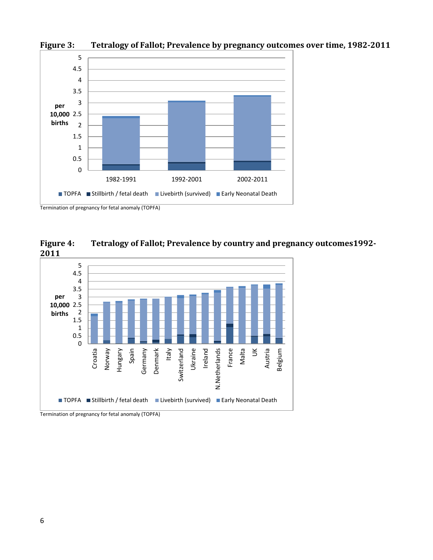

**Figure 3: Tetralogy of Fallot; Prevalence by pregnancy outcomes over time, 1982-2011**

**Figure 4: Tetralogy of Fallot; Prevalence by country and pregnancy outcomes1992- 2011**



Termination of pregnancy for fetal anomaly (TOPFA)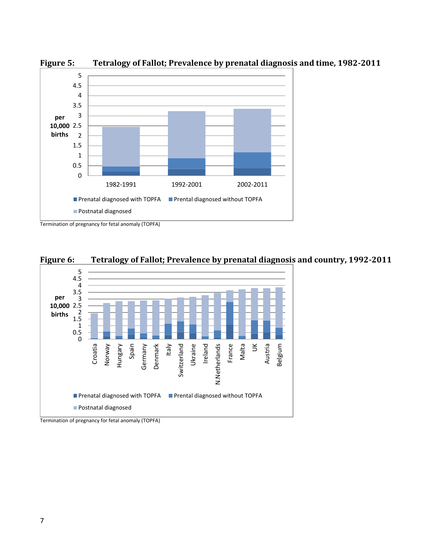

**Figure 5: Tetralogy of Fallot; Prevalence by prenatal diagnosis and time, 1982-2011**



**Figure 6: Tetralogy of Fallot; Prevalence by prenatal diagnosis and country, 1992-2011**

Termination of pregnancy for fetal anomaly (TOPFA)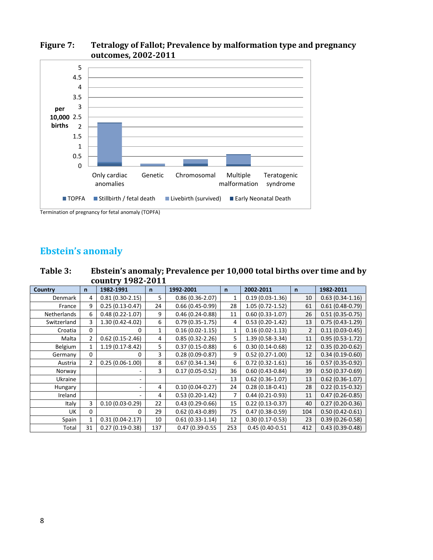

#### **Figure 7: Tetralogy of Fallot; Prevalence by malformation type and pregnancy outcomes, 2002-2011**

Termination of pregnancy for fetal anomaly (TOPFA)

### **Ebstein's anomaly**

**Table 3: Ebstein's anomaly; Prevalence per 10,000 total births over time and by country 1982-2011**

| COUNCEY LOCK HOTT |                |                     |              |                     |              |                     |                |                     |
|-------------------|----------------|---------------------|--------------|---------------------|--------------|---------------------|----------------|---------------------|
| <b>Country</b>    | $\mathsf{n}$   | 1982-1991           | $\mathsf{n}$ | 1992-2001           | $\mathsf{n}$ | 2002-2011           | $\mathsf{n}$   | 1982-2011           |
| Denmark           | 4              | $0.81(0.30-2.15)$   | 5.           | $0.86(0.36 - 2.07)$ | 1            | $0.19(0.03-1.36)$   | 10             | $0.63(0.34-1.16)$   |
| France            | 9              | $0.25(0.13 - 0.47)$ | 24           | $0.66(0.45-0.99)$   | 28           | $1.05(0.72 - 1.52)$ | 61             | $0.61(0.48-0.79)$   |
| Netherlands       | 6              | $0.48(0.22 - 1.07)$ | 9            | $0.46(0.24-0.88)$   | 11           | $0.60(0.33 - 1.07)$ | 26             | $0.51(0.35-0.75)$   |
| Switzerland       | 3              | 1.30 (0.42-4.02)    | 6            | $0.79(0.35-1.75)$   | 4            | $0.53(0.20-1.42)$   | 13             | $0.75(0.43-1.29)$   |
| Croatia           | 0              | 0                   | 1            | $0.16(0.02 - 1.15)$ | 1            | $0.16(0.02 - 1.13)$ | $\overline{2}$ | $0.11(0.03 - 0.45)$ |
| Malta             | $\overline{2}$ | $0.62(0.15-2.46)$   | 4            | $0.85(0.32 - 2.26)$ | 5            | 1.39 (0.58-3.34)    | 11             | $0.95(0.53-1.72)$   |
| Belgium           |                | 1.19 (0.17-8.42)    | 5            | $0.37(0.15-0.88)$   | 6            | $0.30(0.14 - 0.68)$ | 12             | $0.35(0.20-0.62)$   |
| Germany           | 0              | 0                   | 3            | $0.28(0.09-0.87)$   | 9            | $0.52(0.27-1.00)$   | 12             | $0.34(0.19-0.60)$   |
| Austria           | 2              | $0.25(0.06-1.00)$   | 8            | $0.67(0.34-1.34)$   | 6            | $0.72(0.32 - 1.61)$ | 16             | $0.57(0.35-0.92)$   |
| Norway            |                |                     | 3            | $0.17(0.05 - 0.52)$ | 36           | $0.60(0.43 - 0.84)$ | 39             | $0.50(0.37-0.69)$   |
| Ukraine           |                |                     |              |                     | 13           | $0.62$ (0.36-1.07)  | 13             | $0.62$ (0.36-1.07)  |
| Hungary           |                | ٠.                  | 4            | $0.10(0.04 - 0.27)$ | 24           | $0.28(0.18-0.41)$   | 28             | $0.22(0.15-0.32)$   |
| Ireland           |                |                     | 4            | $0.53(0.20-1.42)$   | 7            | $0.44(0.21-0.93)$   | 11             | $0.47(0.26 - 0.85)$ |
| Italy             | 3              | $0.10(0.03 - 0.29)$ | 22           | $0.43(0.29-0.66)$   | 15           | $0.22(0.13 - 0.37)$ | 40             | $0.27(0.20-0.36)$   |
| UK                | 0              | 0                   | 29           | $0.62$ (0.43-0.89)  | 75           | $0.47(0.38-0.59)$   | 104            | $0.50(0.42 - 0.61)$ |
| Spain             | 1              | $0.31(0.04-2.17)$   | 10           | $0.61(0.33-1.14)$   | 12           | $0.30(0.17-0.53)$   | 23             | $0.39(0.26 - 0.58)$ |
| Total             | 31             | $0.27(0.19-0.38)$   | 137          | $0.47(0.39-0.55)$   | 253          | $0.45(0.40-0.51)$   | 412            | $0.43(0.39-0.48)$   |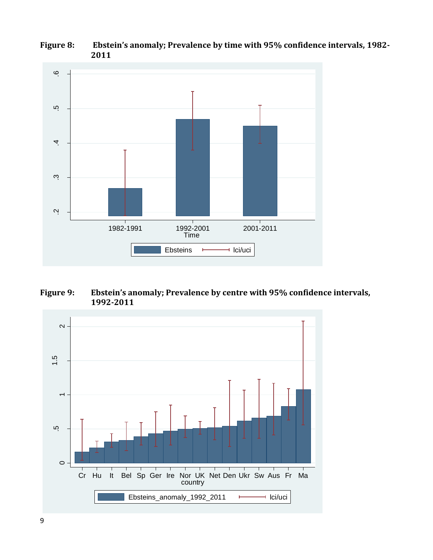

#### **Figure 8: Ebstein's anomaly; Prevalence by time with 95% confidence intervals, 1982- 2011**

**Figure 9: Ebstein's anomaly; Prevalence by centre with 95% confidence intervals, 1992-2011**

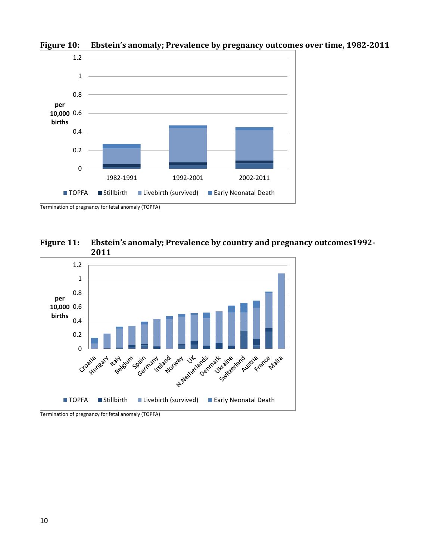

**Figure 10: Ebstein's anomaly; Prevalence by pregnancy outcomes over time, 1982-2011**





Termination of pregnancy for fetal anomaly (TOPFA)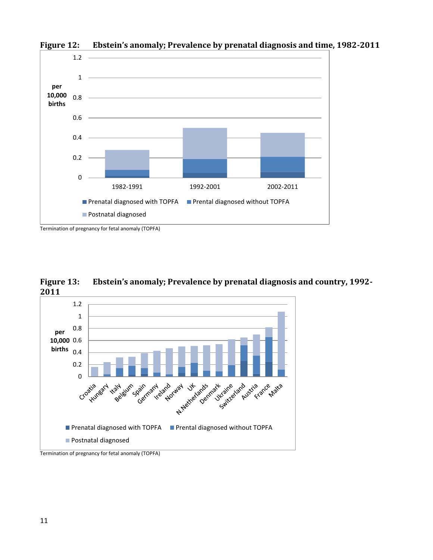

**Figure 12: Ebstein's anomaly; Prevalence by prenatal diagnosis and time, 1982-2011**





Termination of pregnancy for fetal anomaly (TOPFA)